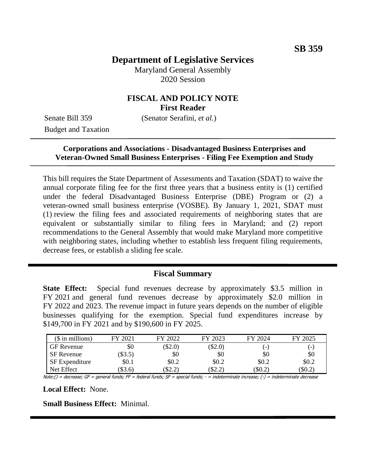# **Department of Legislative Services**

Maryland General Assembly 2020 Session

### **FISCAL AND POLICY NOTE First Reader**

Budget and Taxation

Senate Bill 359 (Senator Serafini, *et al.*)

### **Corporations and Associations - Disadvantaged Business Enterprises and Veteran-Owned Small Business Enterprises - Filing Fee Exemption and Study**

This bill requires the State Department of Assessments and Taxation (SDAT) to waive the annual corporate filing fee for the first three years that a business entity is (1) certified under the federal Disadvantaged Business Enterprise (DBE) Program or (2) a veteran-owned small business enterprise (VOSBE). By January 1, 2021, SDAT must (1) review the filing fees and associated requirements of neighboring states that are equivalent or substantially similar to filing fees in Maryland; and (2) report recommendations to the General Assembly that would make Maryland more competitive with neighboring states, including whether to establish less frequent filing requirements, decrease fees, or establish a sliding fee scale.

#### **Fiscal Summary**

**State Effect:** Special fund revenues decrease by approximately \$3.5 million in FY 2021 and general fund revenues decrease by approximately \$2.0 million in FY 2022 and 2023. The revenue impact in future years depends on the number of eligible businesses qualifying for the exemption. Special fund expenditures increase by \$149,700 in FY 2021 and by \$190,600 in FY 2025.

| $$$ in millions)      | FY 2021 | FY 2022 | FY 2023 | 7 2024<br>EV   | 2025<br>EV     |
|-----------------------|---------|---------|---------|----------------|----------------|
| <b>GF</b> Revenue     | \$0     | \$2.0   | \$2.0   | $\overline{a}$ | $\overline{a}$ |
| <b>SF</b> Revenue     | \$3.5)  | \$0     | \$0     | \$0            | \$0            |
| <b>SF</b> Expenditure | \$0.1   | \$0.2   | \$0.2   | \$0.2          | \$0.2          |
| Net Effect            | \$3.6   | \$2.2)  | \$2.2   | $\$0.2$        | \$0.2          |

Note:() = decrease; GF = general funds; FF = federal funds; SF = special funds; - = indeterminate increase; (-) = indeterminate decrease

**Local Effect:** None.

**Small Business Effect:** Minimal.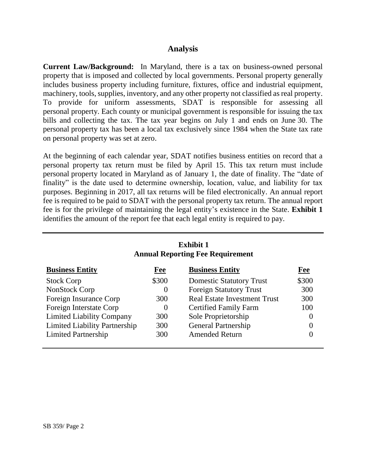### **Analysis**

**Current Law/Background:** In Maryland, there is a tax on business-owned personal property that is imposed and collected by local governments. Personal property generally includes business property including furniture, fixtures, office and industrial equipment, machinery, tools, supplies, inventory, and any other property not classified as real property. To provide for uniform assessments, SDAT is responsible for assessing all personal property. Each county or municipal government is responsible for issuing the tax bills and collecting the tax. The tax year begins on July 1 and ends on June 30. The personal property tax has been a local tax exclusively since 1984 when the State tax rate on personal property was set at zero.

At the beginning of each calendar year, SDAT notifies business entities on record that a personal property tax return must be filed by April 15. This tax return must include personal property located in Maryland as of January 1, the date of finality. The "date of finality" is the date used to determine ownership, location, value, and liability for tax purposes. Beginning in 2017, all tax returns will be filed electronically. An annual report fee is required to be paid to SDAT with the personal property tax return. The annual report fee is for the privilege of maintaining the legal entity's existence in the State. **Exhibit 1** identifies the amount of the report fee that each legal entity is required to pay.

| <b>Exhibit 1</b><br><b>Annual Reporting Fee Requirement</b> |            |                                     |                  |  |  |  |
|-------------------------------------------------------------|------------|-------------------------------------|------------------|--|--|--|
| <b>Business Entity</b>                                      | <b>Fee</b> | <b>Business Entity</b>              | Fee              |  |  |  |
| <b>Stock Corp</b>                                           | \$300      | <b>Domestic Statutory Trust</b>     | \$300            |  |  |  |
| NonStock Corp                                               | $\theta$   | <b>Foreign Statutory Trust</b>      | 300              |  |  |  |
| Foreign Insurance Corp                                      | 300        | <b>Real Estate Investment Trust</b> | 300              |  |  |  |
| Foreign Interstate Corp                                     | $\Omega$   | <b>Certified Family Farm</b>        | 100              |  |  |  |
| <b>Limited Liability Company</b>                            | 300        | Sole Proprietorship                 | $\theta$         |  |  |  |
| <b>Limited Liability Partnership</b>                        | 300        | <b>General Partnership</b>          | $\overline{0}$   |  |  |  |
| <b>Limited Partnership</b>                                  | 300        | <b>Amended Return</b>               | $\left( \right)$ |  |  |  |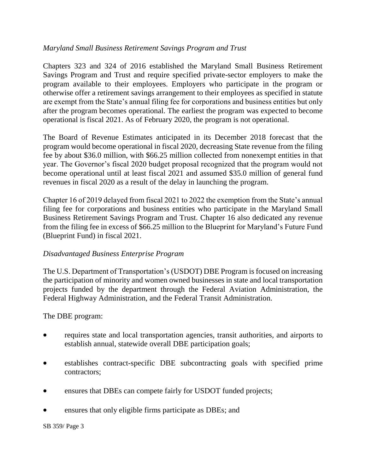#### *Maryland Small Business Retirement Savings Program and Trust*

Chapters 323 and 324 of 2016 established the Maryland Small Business Retirement Savings Program and Trust and require specified private-sector employers to make the program available to their employees. Employers who participate in the program or otherwise offer a retirement savings arrangement to their employees as specified in statute are exempt from the State's annual filing fee for corporations and business entities but only after the program becomes operational. The earliest the program was expected to become operational is fiscal 2021. As of February 2020, the program is not operational.

The Board of Revenue Estimates anticipated in its December 2018 forecast that the program would become operational in fiscal 2020, decreasing State revenue from the filing fee by about \$36.0 million, with \$66.25 million collected from nonexempt entities in that year. The Governor's fiscal 2020 budget proposal recognized that the program would not become operational until at least fiscal 2021 and assumed \$35.0 million of general fund revenues in fiscal 2020 as a result of the delay in launching the program.

Chapter 16 of 2019 delayed from fiscal 2021 to 2022 the exemption from the State's annual filing fee for corporations and business entities who participate in the Maryland Small Business Retirement Savings Program and Trust. Chapter 16 also dedicated any revenue from the filing fee in excess of \$66.25 million to the Blueprint for Maryland's Future Fund (Blueprint Fund) in fiscal 2021.

#### *Disadvantaged Business Enterprise Program*

The U.S. Department of Transportation's (USDOT) DBE Program is focused on increasing the participation of minority and women owned businesses in state and local transportation projects funded by the department through the Federal Aviation Administration, the Federal Highway Administration, and the Federal Transit Administration.

The DBE program:

- requires state and local transportation agencies, transit authorities, and airports to establish annual, statewide overall DBE participation goals;
- establishes contract-specific DBE subcontracting goals with specified prime contractors;
- ensures that DBEs can compete fairly for USDOT funded projects;
- ensures that only eligible firms participate as DBEs; and

SB 359/ Page 3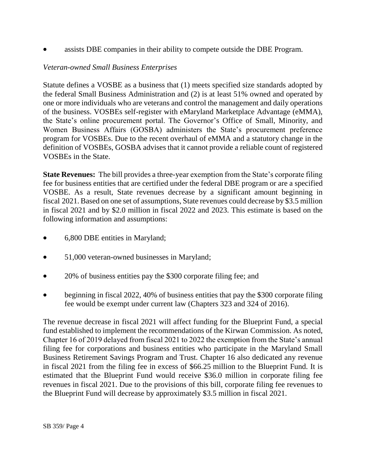assists DBE companies in their ability to compete outside the DBE Program.

### *Veteran-owned Small Business Enterprises*

Statute defines a VOSBE as a business that (1) meets specified size standards adopted by the federal Small Business Administration and (2) is at least 51% owned and operated by one or more individuals who are veterans and control the management and daily operations of the business. VOSBEs self-register with eMaryland Marketplace Advantage (eMMA), the State's online procurement portal. The Governor's Office of Small, Minority, and Women Business Affairs (GOSBA) administers the State's procurement preference program for VOSBEs. Due to the recent overhaul of eMMA and a statutory change in the definition of VOSBEs, GOSBA advises that it cannot provide a reliable count of registered VOSBEs in the State.

**State Revenues:** The bill provides a three-year exemption from the State's corporate filing fee for business entities that are certified under the federal DBE program or are a specified VOSBE. As a result, State revenues decrease by a significant amount beginning in fiscal 2021. Based on one set of assumptions, State revenues could decrease by \$3.5 million in fiscal 2021 and by \$2.0 million in fiscal 2022 and 2023. This estimate is based on the following information and assumptions:

- 6,800 DBE entities in Maryland;
- 51,000 veteran-owned businesses in Maryland;
- 20% of business entities pay the \$300 corporate filing fee; and
- beginning in fiscal 2022, 40% of business entities that pay the \$300 corporate filing fee would be exempt under current law (Chapters 323 and 324 of 2016).

The revenue decrease in fiscal 2021 will affect funding for the Blueprint Fund, a special fund established to implement the recommendations of the Kirwan Commission. As noted, Chapter 16 of 2019 delayed from fiscal 2021 to 2022 the exemption from the State's annual filing fee for corporations and business entities who participate in the Maryland Small Business Retirement Savings Program and Trust. Chapter 16 also dedicated any revenue in fiscal 2021 from the filing fee in excess of \$66.25 million to the Blueprint Fund. It is estimated that the Blueprint Fund would receive \$36.0 million in corporate filing fee revenues in fiscal 2021. Due to the provisions of this bill, corporate filing fee revenues to the Blueprint Fund will decrease by approximately \$3.5 million in fiscal 2021.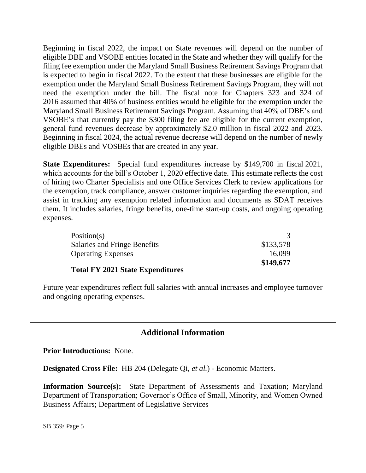Beginning in fiscal 2022, the impact on State revenues will depend on the number of eligible DBE and VSOBE entities located in the State and whether they will qualify for the filing fee exemption under the Maryland Small Business Retirement Savings Program that is expected to begin in fiscal 2022. To the extent that these businesses are eligible for the exemption under the Maryland Small Business Retirement Savings Program, they will not need the exemption under the bill. The fiscal note for Chapters 323 and 324 of 2016 assumed that 40% of business entities would be eligible for the exemption under the Maryland Small Business Retirement Savings Program. Assuming that 40% of DBE's and VSOBE's that currently pay the \$300 filing fee are eligible for the current exemption, general fund revenues decrease by approximately \$2.0 million in fiscal 2022 and 2023. Beginning in fiscal 2024, the actual revenue decrease will depend on the number of newly eligible DBEs and VOSBEs that are created in any year.

**State Expenditures:** Special fund expenditures increase by \$149,700 in fiscal 2021, which accounts for the bill's October 1, 2020 effective date. This estimate reflects the cost of hiring two Charter Specialists and one Office Services Clerk to review applications for the exemption, track compliance, answer customer inquiries regarding the exemption, and assist in tracking any exemption related information and documents as SDAT receives them. It includes salaries, fringe benefits, one-time start-up costs, and ongoing operating expenses.

| Position(s)                      |           |
|----------------------------------|-----------|
| Salaries and Fringe Benefits     | \$133,578 |
| <b>Operating Expenses</b>        | 16,099    |
| Total FV 2021 State Fynenditures | \$149,677 |

#### **Total FY 2021 State Expenditures**

Future year expenditures reflect full salaries with annual increases and employee turnover and ongoing operating expenses.

## **Additional Information**

**Prior Introductions:** None.

**Designated Cross File:** HB 204 (Delegate Qi, *et al.*) - Economic Matters.

**Information Source(s):** State Department of Assessments and Taxation; Maryland Department of Transportation; Governor's Office of Small, Minority, and Women Owned Business Affairs; Department of Legislative Services